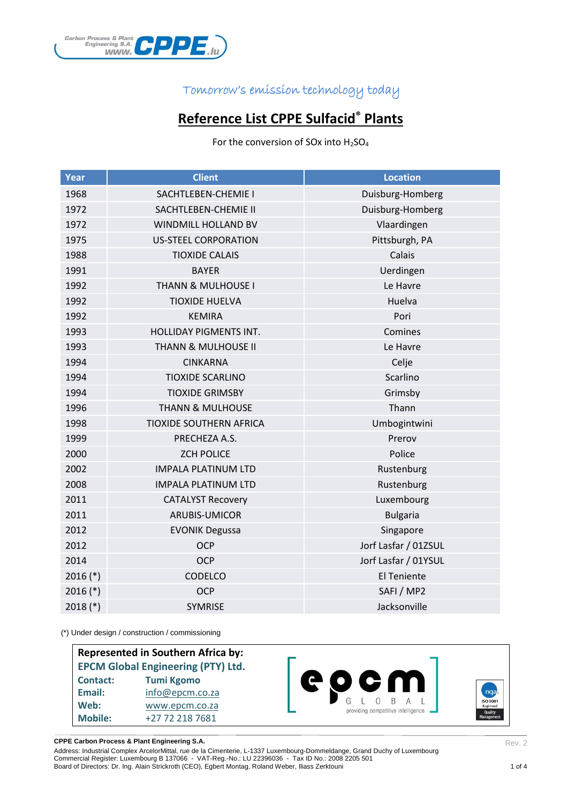

# **Reference List CPPE Sulfacid® Plants**

For the conversion of SOx into  $H_2SO_4$ 

| Year       | <b>Client</b>                 | <b>Location</b>      |
|------------|-------------------------------|----------------------|
| 1968       | SACHTLEBEN-CHEMIE I           | Duisburg-Homberg     |
| 1972       | SACHTLEBEN-CHEMIE II          | Duisburg-Homberg     |
| 1972       | WINDMILL HOLLAND BV           | Vlaardingen          |
| 1975       | <b>US-STEEL CORPORATION</b>   | Pittsburgh, PA       |
| 1988       | <b>TIOXIDE CALAIS</b>         | Calais               |
| 1991       | <b>BAYER</b>                  | Uerdingen            |
| 1992       | <b>THANN &amp; MULHOUSE I</b> | Le Havre             |
| 1992       | <b>TIOXIDE HUELVA</b>         | Huelva               |
| 1992       | <b>KEMIRA</b>                 | Pori                 |
| 1993       | HOLLIDAY PIGMENTS INT.        | Comines              |
| 1993       | THANN & MULHOUSE II           | Le Havre             |
| 1994       | <b>CINKARNA</b>               | Celje                |
| 1994       | <b>TIOXIDE SCARLINO</b>       | Scarlino             |
| 1994       | <b>TIOXIDE GRIMSBY</b>        | Grimsby              |
| 1996       | <b>THANN &amp; MULHOUSE</b>   | Thann                |
| 1998       | TIOXIDE SOUTHERN AFRICA       | Umbogintwini         |
| 1999       | PRECHEZA A.S.                 | Prerov               |
| 2000       | <b>ZCH POLICE</b>             | Police               |
| 2002       | <b>IMPALA PLATINUM LTD</b>    | Rustenburg           |
| 2008       | <b>IMPALA PLATINUM LTD</b>    | Rustenburg           |
| 2011       | <b>CATALYST Recovery</b>      | Luxembourg           |
| 2011       | ARUBIS-UMICOR                 | <b>Bulgaria</b>      |
| 2012       | <b>EVONIK Degussa</b>         | Singapore            |
| 2012       | <b>OCP</b>                    | Jorf Lasfar / 01ZSUL |
| 2014       | <b>OCP</b>                    | Jorf Lasfar / 01YSUL |
| $2016$ (*) | CODELCO                       | <b>El Teniente</b>   |
| $2016$ (*) | <b>OCP</b>                    | SAFI / MP2           |
| $2018$ (*) | <b>SYMRISE</b>                | Jacksonville         |

(\*) Under design / construction / commissioning

| <b>Represented in Southern Africa by:</b><br><b>EPCM Global Engineering (PTY) Ltd.</b> |                   |                                                                     |  |  |  |
|----------------------------------------------------------------------------------------|-------------------|---------------------------------------------------------------------|--|--|--|
| <b>Contact:</b>                                                                        | <b>Tumi Kgomo</b> | 60 G W                                                              |  |  |  |
| Email:                                                                                 | info@epcm.co.za   | ngal                                                                |  |  |  |
| Web:                                                                                   | www.epcm.co.za    | <b>ISO 9001</b><br>Registered<br>providing competitive intelligence |  |  |  |
| <b>Mobile:</b>                                                                         | +27 72 218 7681   | Quality<br>Management                                               |  |  |  |

**CPPE Carbon Process & Plant Engineering S.A.**

Rev. 2

Address: Industrial Complex ArcelorMittal, rue de la Cimenterie, L-1337 Luxembourg-Dommeldange, Grand Duchy of Luxembourg Commercial Register: Luxembourg B 137066 - VAT-Reg.-No.: LU 22396036 - Tax ID No.: 2008 2205 501 Board of Directors: Dr. Ing. Alain Strickroth (CEO), Egbert Montag, Roland Weber, Iliass Zerktouni 1 of 4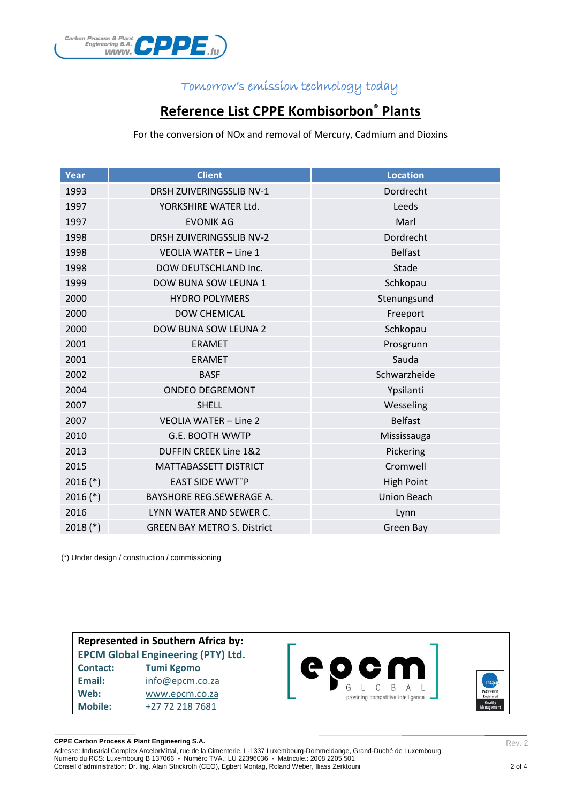

## **Reference List CPPE Kombisorbon® Plants**

For the conversion of NOx and removal of Mercury, Cadmium and Dioxins

| Year       | <b>Client</b>                      | <b>Location</b>    |
|------------|------------------------------------|--------------------|
| 1993       | <b>DRSH ZUIVERINGSSLIB NV-1</b>    | Dordrecht          |
| 1997       | YORKSHIRE WATER Ltd.               | Leeds              |
| 1997       | <b>EVONIK AG</b>                   | Marl               |
| 1998       | <b>DRSH ZUIVERINGSSLIB NV-2</b>    | Dordrecht          |
| 1998       | <b>VEOLIA WATER - Line 1</b>       | <b>Belfast</b>     |
| 1998       | DOW DEUTSCHLAND Inc.               | Stade              |
| 1999       | DOW BUNA SOW LEUNA 1               | Schkopau           |
| 2000       | <b>HYDRO POLYMERS</b>              | Stenungsund        |
| 2000       | <b>DOW CHEMICAL</b>                | Freeport           |
| 2000       | <b>DOW BUNA SOW LEUNA 2</b>        | Schkopau           |
| 2001       | <b>ERAMET</b>                      | Prosgrunn          |
| 2001       | <b>ERAMET</b>                      | Sauda              |
| 2002       | <b>BASF</b>                        | Schwarzheide       |
| 2004       | <b>ONDEO DEGREMONT</b>             | Ypsilanti          |
| 2007       | <b>SHELL</b>                       | Wesseling          |
| 2007       | <b>VEOLIA WATER - Line 2</b>       | <b>Belfast</b>     |
| 2010       | <b>G.E. BOOTH WWTP</b>             | Mississauga        |
| 2013       | <b>DUFFIN CREEK Line 1&amp;2</b>   | Pickering          |
| 2015       | MATTABASSETT DISTRICT              | Cromwell           |
| $2016$ (*) | <b>EAST SIDE WWT"P</b>             | <b>High Point</b>  |
| $2016$ (*) | <b>BAYSHORE REG.SEWERAGE A.</b>    | <b>Union Beach</b> |
| 2016       | LYNN WATER AND SEWER C.            | Lynn               |
| $2018$ (*) | <b>GREEN BAY METRO S. District</b> | Green Bay          |

(\*) Under design / construction / commissioning

**Represented in Southern Africa by: EPCM Global Engineering (PTY) Ltd. Contact: Tumi Kgomo Email:** [info@epcm.co.za](mailto:info@epcm.co.za) **Web:** [www.epcm.co.za](http://www.epcm.co.za/) **Mobile:** +27 72 218 7681



**CPPE Carbon Process & Plant Engineering S.A.**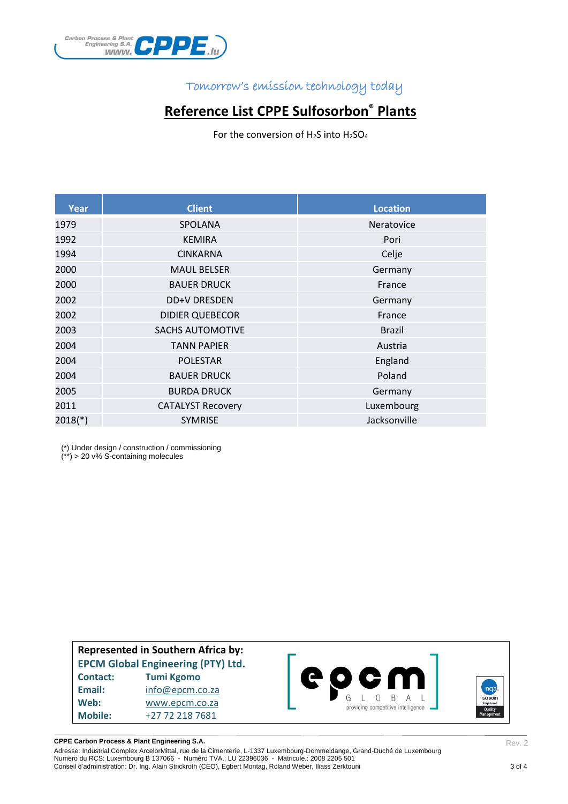

## **Reference List CPPE Sulfosorbon® Plants**

For the conversion of  $H_2S$  into  $H_2SO_4$ 

| Year      | <b>Client</b>            | <b>Location</b> |
|-----------|--------------------------|-----------------|
| 1979      | <b>SPOLANA</b>           | Neratovice      |
| 1992      | <b>KEMIRA</b>            | Pori            |
| 1994      | <b>CINKARNA</b>          | Celje           |
| 2000      | <b>MAUL BELSER</b>       | Germany         |
| 2000      | <b>BAUER DRUCK</b>       | France          |
| 2002      | DD+V DRESDEN             | Germany         |
| 2002      | <b>DIDIER QUEBECOR</b>   | France          |
| 2003      | <b>SACHS AUTOMOTIVE</b>  | <b>Brazil</b>   |
| 2004      | <b>TANN PAPIER</b>       | Austria         |
| 2004      | <b>POLESTAR</b>          | England         |
| 2004      | <b>BAUER DRUCK</b>       | Poland          |
| 2005      | <b>BURDA DRUCK</b>       | Germany         |
| 2011      | <b>CATALYST Recovery</b> | Luxembourg      |
| $2018(*)$ | <b>SYMRISE</b>           | Jacksonville    |

(\*) Under design / construction / commissioning

(\*\*) > 20 v% S-containing molecules

**Represented in Southern Africa by: EPCM Global Engineering (PTY) Ltd. Contact: Tumi Kgomo Email:** [info@epcm.co.za](mailto:info@epcm.co.za) **Web:** [www.epcm.co.za](http://www.epcm.co.za/) **Mobile:** +27 72 218 7681



**CPPE Carbon Process & Plant Engineering S.A.**